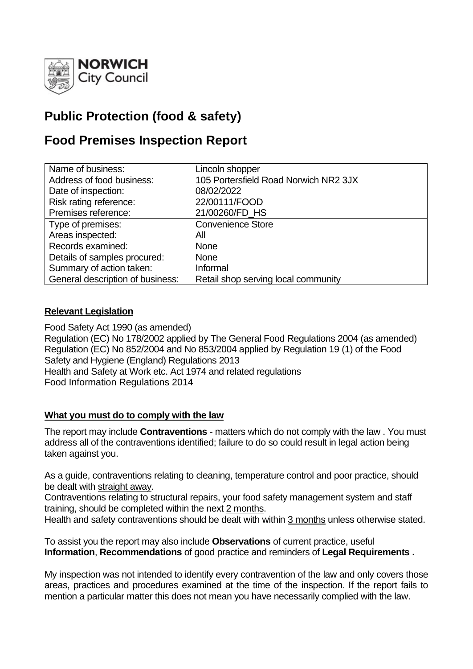

# **Public Protection (food & safety)**

## **Food Premises Inspection Report**

| Name of business:                | Lincoln shopper                       |
|----------------------------------|---------------------------------------|
| Address of food business:        | 105 Portersfield Road Norwich NR2 3JX |
| Date of inspection:              | 08/02/2022                            |
| Risk rating reference:           | 22/00111/FOOD                         |
| Premises reference:              | 21/00260/FD HS                        |
| Type of premises:                | <b>Convenience Store</b>              |
| Areas inspected:                 | All                                   |
| Records examined:                | <b>None</b>                           |
| Details of samples procured:     | <b>None</b>                           |
| Summary of action taken:         | Informal                              |
| General description of business: | Retail shop serving local community   |

## **Relevant Legislation**

Food Safety Act 1990 (as amended) Regulation (EC) No 178/2002 applied by The General Food Regulations 2004 (as amended) Regulation (EC) No 852/2004 and No 853/2004 applied by Regulation 19 (1) of the Food Safety and Hygiene (England) Regulations 2013 Health and Safety at Work etc. Act 1974 and related regulations Food Information Regulations 2014

## **What you must do to comply with the law**

The report may include **Contraventions** - matters which do not comply with the law . You must address all of the contraventions identified; failure to do so could result in legal action being taken against you.

As a guide, contraventions relating to cleaning, temperature control and poor practice, should be dealt with straight away.

Contraventions relating to structural repairs, your food safety management system and staff training, should be completed within the next 2 months.

Health and safety contraventions should be dealt with within 3 months unless otherwise stated.

To assist you the report may also include **Observations** of current practice, useful **Information**, **Recommendations** of good practice and reminders of **Legal Requirements .**

My inspection was not intended to identify every contravention of the law and only covers those areas, practices and procedures examined at the time of the inspection. If the report fails to mention a particular matter this does not mean you have necessarily complied with the law.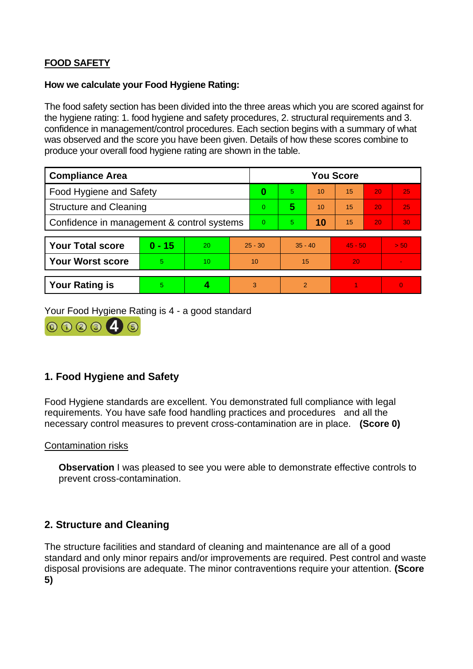## **FOOD SAFETY**

#### **How we calculate your Food Hygiene Rating:**

The food safety section has been divided into the three areas which you are scored against for the hygiene rating: 1. food hygiene and safety procedures, 2. structural requirements and 3. confidence in management/control procedures. Each section begins with a summary of what was observed and the score you have been given. Details of how these scores combine to produce your overall food hygiene rating are shown in the table.

| <b>Compliance Area</b>                     |          |    |           | <b>You Score</b> |               |    |           |    |                |  |  |
|--------------------------------------------|----------|----|-----------|------------------|---------------|----|-----------|----|----------------|--|--|
| <b>Food Hygiene and Safety</b>             |          |    |           | $\bf{0}$         | 5.            | 10 | 15        | 20 | 25             |  |  |
| <b>Structure and Cleaning</b>              |          |    |           | $\Omega$         | 5             | 10 | 15        | 20 | 25             |  |  |
| Confidence in management & control systems |          |    |           | $\Omega$         | 5.            | 10 | 15        | 20 | 30             |  |  |
|                                            |          |    |           |                  |               |    |           |    |                |  |  |
| <b>Your Total score</b>                    | $0 - 15$ | 20 | $25 - 30$ |                  | $35 - 40$     |    | $45 - 50$ |    | > 50           |  |  |
| <b>Your Worst score</b>                    | 5        | 10 | 10        |                  | 15            |    | 20        |    | $\sim$         |  |  |
|                                            |          |    |           |                  |               |    |           |    |                |  |  |
| <b>Your Rating is</b>                      | 5        |    |           | 3                | $\mathcal{P}$ |    |           |    | $\overline{0}$ |  |  |

Your Food Hygiene Rating is 4 - a good standard



## **1. Food Hygiene and Safety**

Food Hygiene standards are excellent. You demonstrated full compliance with legal requirements. You have safe food handling practices and procedures and all the necessary control measures to prevent cross-contamination are in place. **(Score 0)**

#### Contamination risks

**Observation** I was pleased to see you were able to demonstrate effective controls to prevent cross-contamination.

## **2. Structure and Cleaning**

The structure facilities and standard of cleaning and maintenance are all of a good standard and only minor repairs and/or improvements are required. Pest control and waste disposal provisions are adequate. The minor contraventions require your attention. **(Score 5)**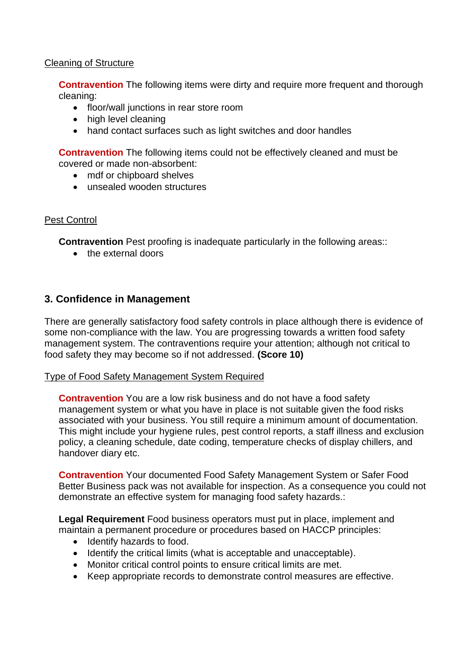#### Cleaning of Structure

**Contravention** The following items were dirty and require more frequent and thorough cleaning:

- floor/wall junctions in rear store room
- high level cleaning
- hand contact surfaces such as light switches and door handles

**Contravention** The following items could not be effectively cleaned and must be covered or made non-absorbent:

- mdf or chipboard shelves
- unsealed wooden structures

#### Pest Control

**Contravention** Pest proofing is inadequate particularly in the following areas::

• the external doors

#### **3. Confidence in Management**

There are generally satisfactory food safety controls in place although there is evidence of some non-compliance with the law. You are progressing towards a written food safety management system. The contraventions require your attention; although not critical to food safety they may become so if not addressed. **(Score 10)**

#### Type of Food Safety Management System Required

**Contravention** You are a low risk business and do not have a food safety management system or what you have in place is not suitable given the food risks associated with your business. You still require a minimum amount of documentation. This might include your hygiene rules, pest control reports, a staff illness and exclusion policy, a cleaning schedule, date coding, temperature checks of display chillers, and handover diary etc.

**Contravention** Your documented Food Safety Management System or Safer Food Better Business pack was not available for inspection. As a consequence you could not demonstrate an effective system for managing food safety hazards.:

**Legal Requirement** Food business operators must put in place, implement and maintain a permanent procedure or procedures based on HACCP principles:

- Identify hazards to food.
- Identify the critical limits (what is acceptable and unacceptable).
- Monitor critical control points to ensure critical limits are met.
- Keep appropriate records to demonstrate control measures are effective.